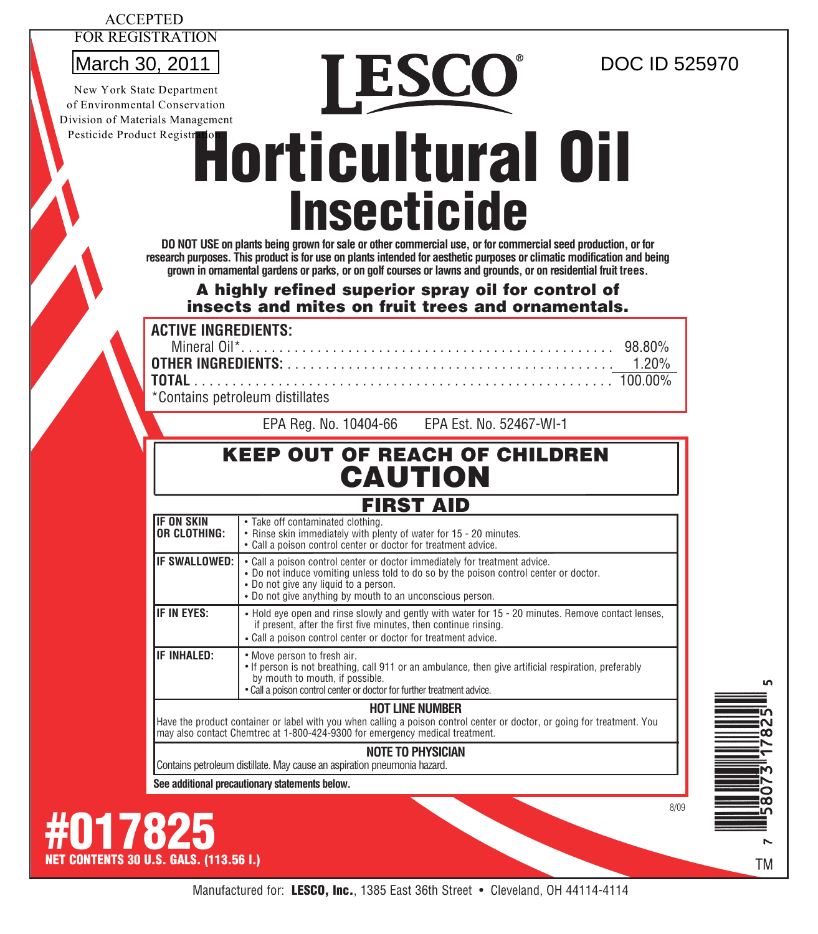#### ACCEPTED FOR REGISTRATION

New York State Department of Environmental Conservation Division of Materials Management Pesticide Product Registr

# Horticultural Oil **Insecticide**  $\frac{\text{March } 30, 2011}{\text{New York State Department}}$   $\text{De } \text{SCO}^{\circ}$

**DO NOT USE on plants being grown for sale or other commercial use, or for commercial seed production, or for research purposes. This product is for use on plants intended for aesthetic purposes or climatic modification and being grown in ornamental gardens or parks, or on golf courses or lawns and grounds, or on residential fruit trees.**

## A highly refined superior spray oil for control of insects and mites on fruit trees and ornamentals.

**ACTIVE INGREDIENTS:**

| *Containe netroleum dietillatee |  |
|---------------------------------|--|

\*Contains petroleum distillates

EPA Reg. No. 10404-66 EPA Est. No. 52467-WI-1

## KEEP OUT OF REACH OF CHILDREN CAUTION

## FIRST AID

| <b>IF ON SKIN</b><br>IOR CLOTHING:                                                                                                                                                                                                 | • Take off contaminated clothing.<br>• Rinse skin immediately with plenty of water for 15 - 20 minutes.<br>• Call a poison control center or doctor for treatment advice.                                                                                                 |  |  |  |
|------------------------------------------------------------------------------------------------------------------------------------------------------------------------------------------------------------------------------------|---------------------------------------------------------------------------------------------------------------------------------------------------------------------------------------------------------------------------------------------------------------------------|--|--|--|
| <b>IF SWALLOWED:</b>                                                                                                                                                                                                               | • Call a poison control center or doctor immediately for treatment advice.<br>. Do not induce vomiting unless told to do so by the poison control center or doctor.<br>• Do not give any liquid to a person.<br>• Do not give anything by mouth to an unconscious person. |  |  |  |
| <b>IF IN EYES:</b>                                                                                                                                                                                                                 | . Hold eye open and rinse slowly and gently with water for 15 - 20 minutes. Remove contact lenses,<br>if present, after the first five minutes, then continue rinsing.<br>• Call a poison control center or doctor for treatment advice.                                  |  |  |  |
| <b>IF INHALED:</b>                                                                                                                                                                                                                 | • Move person to fresh air.<br>• If person is not breathing, call 911 or an ambulance, then give artificial respiration, preferably<br>by mouth to mouth, if possible.<br>. Call a poison control center or doctor for further treatment advice.                          |  |  |  |
| <b>HOT LINE NUMBER</b><br>Have the product container or label with you when calling a poison control center or doctor, or going for treatment. You<br>may also contact Chemtrec at 1-800-424-9300 for emergency medical treatment. |                                                                                                                                                                                                                                                                           |  |  |  |

### **NOTE TO PHYSICIAN**

Contains petroleum distillate. May cause an aspiration pneumonia hazard.

**See additional precautionary statements below.**

**#017825**<br>NET CONTENTS 30 U.S. GALS. (113.56 L.)





8/09